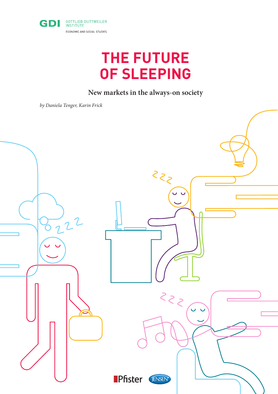

# **THE FUTURE OF SLEEPING**

## **New markets in the always-on society**

*by Daniela Tenger, Karin Frick*

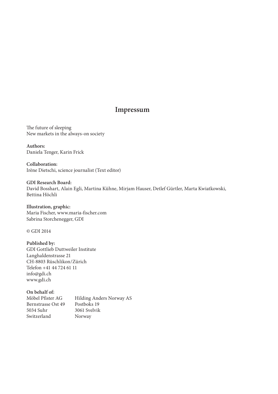### **Impressum**

The future of sleeping New markets in the always-on society

**Authors:** Daniela Tenger, Karin Frick

**Collaboration:** Irène Dietschi, science journalist (Text editor)

**GDI Research Board:** David Bosshart, Alain Egli, Martina Kühne, Mirjam Hauser, Detlef Gürtler, Marta Kwiatkowski, Bettina Höchli

**Illustration, graphic:** Maria Fischer, www.maria-fischer.com Sabrina Storchenegger, GDI

© GDI 2014

**Published by:** GDI Gottlieb Duttweiler Institute Langhaldenstrasse 21 CH-8803 Rüschlikon/Zürich Telefon +41 44 724 61 11 info@gdi.ch www.gdi.ch

**On behalf of:** Möbel Pfister AG Bernstrasse Ost 49 5034 Suhr Switzerland Hilding Anders Norway AS Postboks 19 3061 Svelvik Norway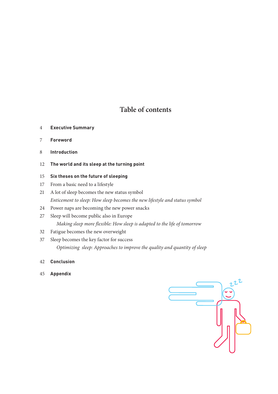### **Table of contents**

- **Executive Summary**
- **Foreword**
- **Introduction**
- **The world and its sleep at the turning point**

### **Six theses on the future of sleeping**

- From a basic need to a lifestyle
- A lot of sleep becomes the new status symbol *Enticement to sleep: How sleep becomes the new lifestyle and status symbol*
- Power naps are becoming the new power snacks
- Sleep will become public also in Europe *Making sleep more flexible: How sleep is adapted to the life of tomorrow*
- Fatigue becomes the new overweight
- Sleep becomes the key factor for success  *Optimizing sleep: Approaches to improve the quality and quantity of sleep*
- **Conclusion**
- **Appendix**

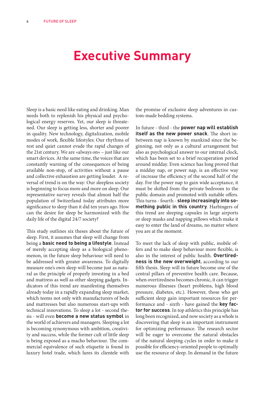# **Executive Summary**

Sleep is a basic need like eating and drinking. Man needs both to replenish his physical and psychological energy reserves. Yet, our sleep is threatened. Our sleep is getting less, shorter and poorer in quality. New technology, digitalization, mobile modes of work, flexible lifestyles: Our rhythms of rest and quiet cannot evade the rapid changes of the 21st century. We are «always on» – just like our smart devices. At the same time, the voices that are constantly warning of the consequences of being available non-stop, of activities without a pause and collective exhaustion are getting louder. A reversal of trend is on the way: Our sleepless society is beginning to focus more and more on sleep. Our representative survey reveals that almost half the population of Switzerland today attributes more significance to sleep than it did ten years ago. How can the desire for sleep be harmonized with the daily life of the digital 24/7 society?

This study outlines six theses about the future of sleep. First, it assumes that sleep will change from being a **basic need to being a lifestyle**. Instead of merely accepting sleep as a biological phenomenon, in the future sleep behaviour will need to be addressed with greater awareness. To digitally measure one's own sleep will become just as natural as the principle of properly investing in a bed and mattress as well as other sleeping gadgets. Indicators of this trend are manifesting themselves already today in a rapidly expanding sleep market, which teems not only with manufacturers of beds and mattresses but also numerous start-ups with technical innovations. To sleep a lot - second thesis - will even **become a new status symbol** in the world of achievers and managers. Sleeping a lot is becoming synonymous with ambition, creativity and success, while the former cult of little sleep is being exposed as a macho behaviour. The commercial equivalence of such etiquette is found in luxury hotel trade, which lures its clientele with

the promise of exclusive sleep adventures in custom-made bedding systems.

In future - third - the **power nap will establish itself as the new power snack**. The short inbetween nap is known by mankind since the beginning, not only as a cultural arrangement but also as psychological answer to our internal clock, which has been set to a brief recuperation period around midday. Even science has long proved that a midday nap, or power nap, is an effective way of increase the efficiency of the second half of the day. For the power nap to gain wide acceptance, it must be shifted from the private bedroom to the public domain and promoted with suitable offers. This turns - fourth - **sleep increasingly into something public in this country**. Harbingers of this trend are sleeping capsules in large airports or sleep masks and napping pillows which make it easy to enter the land of dreams, no matter where you are at the moment.

To meet the lack of sleep with public, mobile offers and to make sleep behaviour more flexible, is also in the interest of public health. **Overtiredness is the new overweight**, according to our fifth thesis. Sleep will in future become one of the central pillars of preventive health care. Because, when overtiredness becomes chronic, it can trigger numerous illnesses (heart problems, high blood pressure, diabetes, etc.). However, those who get sufficient sleep gain important resources for performance and - sixth - have gained the **key factor for success**. In top athletics this principle has long been recognized, and now society as a whole is discovering that sleep is an important instrument for optimizing performance. The research sector will be eager to overcome the natural obstacles of the natural sleeping cycles in order to make it possible for efficiency-oriented people to optimally use the resource of sleep. In demand in the future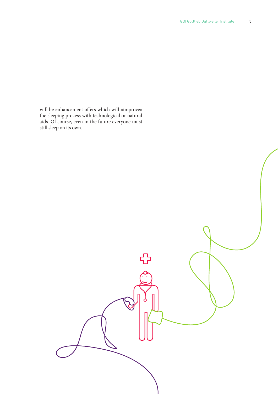will be enhancement offers which will «improve» the sleeping process with technological or natural aids. Of course, even in the future everyone must still sleep on its own.

# ╬